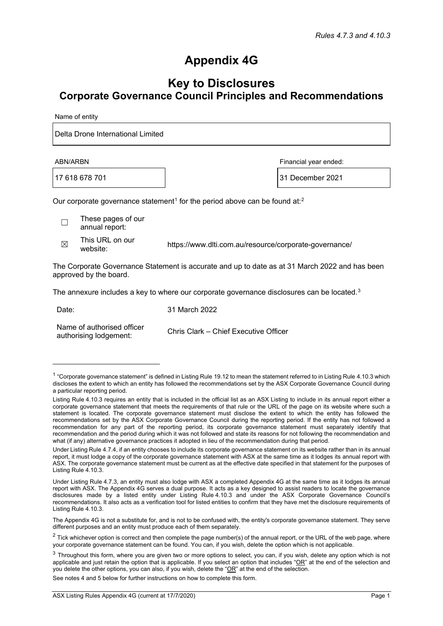## **Appendix 4G**

## **Key to Disclosures Corporate Governance Council Principles and Recommendations**

Name of entity

Delta Drone International Limited

17 618 678 701 31 December 2021

ABN/ARBN Financial year ended:

Our corporate governance statement<sup>[1](#page-0-0)</sup> for the period above can be found at:<sup>[2](#page-0-1)</sup>

☐ These pages of our annual report:

 $\boxtimes$  This URL on our<br>website:

https://www.dlti.com.au/resource/corporate-governance/

The Corporate Governance Statement is accurate and up to date as at 31 March 2022 and has been approved by the board.

The annexure includes a key to where our corporate governance disclosures can be located. $3$ 

Date: 31 March 2022

Name of authorised officer Name of authorised officer<br>authorising lodgement:<br>chris Clark – Chief Executive Officer

See notes 4 and 5 below for further instructions on how to complete this form.

<span id="page-0-0"></span> $1$  "Corporate governance statement" is defined in Listing Rule 19.12 to mean the statement referred to in Listing Rule 4.10.3 which discloses the extent to which an entity has followed the recommendations set by the ASX Corporate Governance Council during a particular reporting period.

Listing Rule 4.10.3 requires an entity that is included in the official list as an ASX Listing to include in its annual report either a corporate governance statement that meets the requirements of that rule or the URL of the page on its website where such a statement is located. The corporate governance statement must disclose the extent to which the entity has followed the recommendations set by the ASX Corporate Governance Council during the reporting period. If the entity has not followed a recommendation for any part of the reporting period, its corporate governance statement must separately identify that recommendation and the period during which it was not followed and state its reasons for not following the recommendation and what (if any) alternative governance practices it adopted in lieu of the recommendation during that period.

Under Listing Rule 4.7.4, if an entity chooses to include its corporate governance statement on its website rather than in its annual report, it must lodge a copy of the corporate governance statement with ASX at the same time as it lodges its annual report with ASX. The corporate governance statement must be current as at the effective date specified in that statement for the purposes of Listing Rule 4.10.3.

Under Listing Rule 4.7.3, an entity must also lodge with ASX a completed Appendix 4G at the same time as it lodges its annual report with ASX. The Appendix 4G serves a dual purpose. It acts as a key designed to assist readers to locate the governance disclosures made by a listed entity under Listing Rule 4.10.3 and under the ASX Corporate Governance Council's recommendations. It also acts as a verification tool for listed entities to confirm that they have met the disclosure requirements of Listing Rule 4.10.3.

The Appendix 4G is not a substitute for, and is not to be confused with, the entity's corporate governance statement. They serve different purposes and an entity must produce each of them separately.

<span id="page-0-1"></span> $2$  Tick whichever option is correct and then complete the page number(s) of the annual report, or the URL of the web page, where your corporate governance statement can be found. You can, if you wish, delete the option which is not applicable.

<span id="page-0-2"></span> $3$  Throughout this form, where you are given two or more options to select, you can, if you wish, delete any option which is not applicable and just retain the option that is applicable. If you select an option that includes " $OR$ " at the end of the selection and you delete the other options, you can also, if you wish, delete the "OR" at the end of the selection.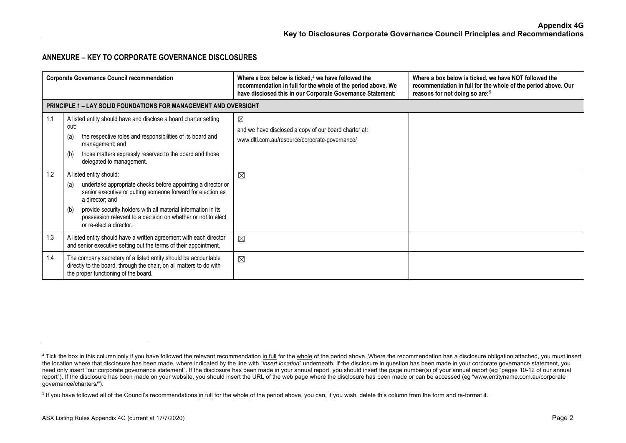## <span id="page-1-1"></span><span id="page-1-0"></span>**ANNEXURE – KEY TO CORPORATE GOVERNANCE DISCLOSURES**

| <b>Corporate Governance Council recommendation</b> |                                                                                                                                                                                                                                                                                                                                                     | Where a box below is ticked, $4$ we have followed the<br>recommendation in full for the whole of the period above. We<br>have disclosed this in our Corporate Governance Statement: | Where a box below is ticked, we have NOT followed the<br>recommendation in full for the whole of the period above. Our<br>reasons for not doing so are: <sup>5</sup> |
|----------------------------------------------------|-----------------------------------------------------------------------------------------------------------------------------------------------------------------------------------------------------------------------------------------------------------------------------------------------------------------------------------------------------|-------------------------------------------------------------------------------------------------------------------------------------------------------------------------------------|----------------------------------------------------------------------------------------------------------------------------------------------------------------------|
|                                                    | <b>PRINCIPLE 1 – LAY SOLID FOUNDATIONS FOR MANAGEMENT AND OVERSIGHT</b>                                                                                                                                                                                                                                                                             |                                                                                                                                                                                     |                                                                                                                                                                      |
| 1.1                                                | A listed entity should have and disclose a board charter setting<br>out:<br>the respective roles and responsibilities of its board and<br>(a)<br>management; and<br>those matters expressly reserved to the board and those<br>(b)<br>delegated to management.                                                                                      | $\boxtimes$<br>and we have disclosed a copy of our board charter at:<br>www.dlti.com.au/resource/corporate-governance/                                                              |                                                                                                                                                                      |
| 1.2                                                | A listed entity should:<br>undertake appropriate checks before appointing a director or<br>(a)<br>senior executive or putting someone forward for election as<br>a director; and<br>provide security holders with all material information in its<br>(b)<br>possession relevant to a decision on whether or not to elect<br>or re-elect a director. | $\boxtimes$                                                                                                                                                                         |                                                                                                                                                                      |
| 1.3                                                | A listed entity should have a written agreement with each director<br>and senior executive setting out the terms of their appointment.                                                                                                                                                                                                              | $\boxtimes$                                                                                                                                                                         |                                                                                                                                                                      |
| 1.4                                                | The company secretary of a listed entity should be accountable<br>directly to the board, through the chair, on all matters to do with<br>the proper functioning of the board.                                                                                                                                                                       | $\boxtimes$                                                                                                                                                                         |                                                                                                                                                                      |

<sup>&</sup>lt;sup>4</sup> Tick the box in this column only if you have followed the relevant recommendation i<u>n full</u> for the <u>whole</u> of the period above. Where the recommendation has a disclosure obligation attached, you must insert the location where that disclosure has been made, where indicated by the line with "*insert location*" underneath. If the disclosure in question has been made in your corporate governance statement, you need only insert "our corporate governance statement". If the disclosure has been made in your annual report, you should insert the page number(s) of your annual report (eg "pages 10-12 of our annual report"). If the disclosure has been made on your website, you should insert the URL of the web page where the disclosure has been made or can be accessed (eg "www.entityname.com.au/corporate governance/charters/").

<sup>&</sup>lt;sup>5</sup> If you have followed all of the Council's recommendations <u>in full</u> for the <u>whole</u> of the period above, you can, if you wish, delete this column from the form and re-format it.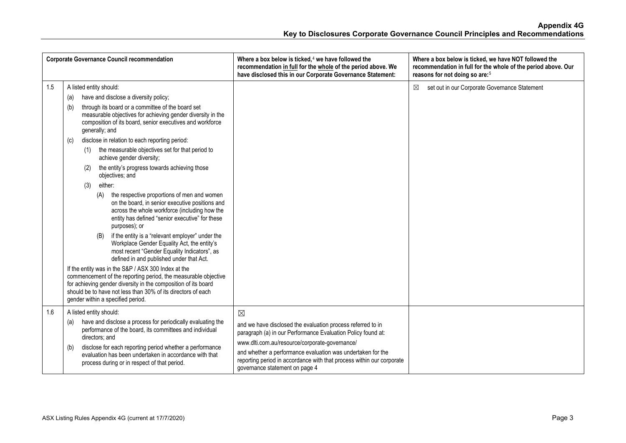| <b>Corporate Governance Council recommendation</b> |                                                                                                                                                                                                                                                                                                                                                                                                                                                                                                                                                                                                                                                                                                                                                                                                                                                                                                                                                                                                                                                                                                                                                                                                                                                                     | Where a box below is ticked, <sup>4</sup> we have followed the<br>recommendation in full for the whole of the period above. We<br>have disclosed this in our Corporate Governance Statement:                                                                                                                                                                           | Where a box below is ticked, we have NOT followed the<br>recommendation in full for the whole of the period above. Our<br>reasons for not doing so are: <sup>5</sup> |
|----------------------------------------------------|---------------------------------------------------------------------------------------------------------------------------------------------------------------------------------------------------------------------------------------------------------------------------------------------------------------------------------------------------------------------------------------------------------------------------------------------------------------------------------------------------------------------------------------------------------------------------------------------------------------------------------------------------------------------------------------------------------------------------------------------------------------------------------------------------------------------------------------------------------------------------------------------------------------------------------------------------------------------------------------------------------------------------------------------------------------------------------------------------------------------------------------------------------------------------------------------------------------------------------------------------------------------|------------------------------------------------------------------------------------------------------------------------------------------------------------------------------------------------------------------------------------------------------------------------------------------------------------------------------------------------------------------------|----------------------------------------------------------------------------------------------------------------------------------------------------------------------|
| 1.5                                                | A listed entity should:<br>have and disclose a diversity policy;<br>(a)<br>through its board or a committee of the board set<br>(b)<br>measurable objectives for achieving gender diversity in the<br>composition of its board, senior executives and workforce<br>generally; and<br>disclose in relation to each reporting period:<br>(c)<br>the measurable objectives set for that period to<br>(1)<br>achieve gender diversity;<br>the entity's progress towards achieving those<br>(2)<br>objectives; and<br>either:<br>(3)<br>the respective proportions of men and women<br>(A)<br>on the board, in senior executive positions and<br>across the whole workforce (including how the<br>entity has defined "senior executive" for these<br>purposes); or<br>if the entity is a "relevant employer" under the<br>(B)<br>Workplace Gender Equality Act, the entity's<br>most recent "Gender Equality Indicators", as<br>defined in and published under that Act.<br>If the entity was in the S&P / ASX 300 Index at the<br>commencement of the reporting period, the measurable objective<br>for achieving gender diversity in the composition of its board<br>should be to have not less than 30% of its directors of each<br>gender within a specified period. |                                                                                                                                                                                                                                                                                                                                                                        | $\boxtimes$<br>set out in our Corporate Governance Statement                                                                                                         |
| 1.6                                                | A listed entity should:<br>have and disclose a process for periodically evaluating the<br>(a)<br>performance of the board, its committees and individual<br>directors; and<br>disclose for each reporting period whether a performance<br>(b)<br>evaluation has been undertaken in accordance with that<br>process during or in respect of that period.                                                                                                                                                                                                                                                                                                                                                                                                                                                                                                                                                                                                                                                                                                                                                                                                                                                                                                             | $\boxtimes$<br>and we have disclosed the evaluation process referred to in<br>paragraph (a) in our Performance Evaluation Policy found at:<br>www.dlti.com.au/resource/corporate-governance/<br>and whether a performance evaluation was undertaken for the<br>reporting period in accordance with that process within our corporate<br>governance statement on page 4 |                                                                                                                                                                      |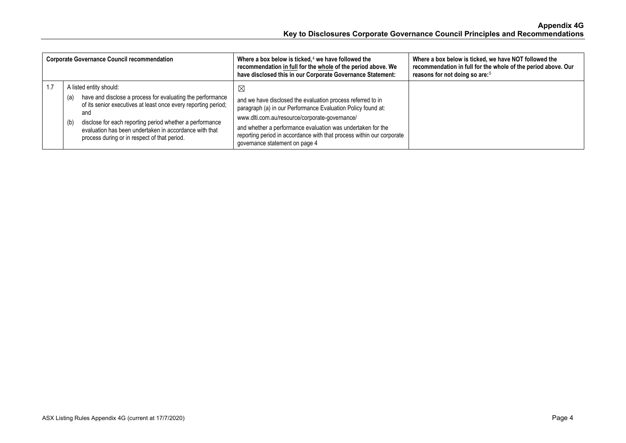| <b>Corporate Governance Council recommendation</b> |                                              |                                                                                                                                                                                                                                                                                                    | Where a box below is ticked, $4$ we have followed the<br>recommendation in full for the whole of the period above. We<br>have disclosed this in our Corporate Governance Statement:                                                                                                                                                                                    | Where a box below is ticked, we have NOT followed the<br>recommendation in full for the whole of the period above. Our<br>reasons for not doing so are: <sup>5</sup> |
|----------------------------------------------------|----------------------------------------------|----------------------------------------------------------------------------------------------------------------------------------------------------------------------------------------------------------------------------------------------------------------------------------------------------|------------------------------------------------------------------------------------------------------------------------------------------------------------------------------------------------------------------------------------------------------------------------------------------------------------------------------------------------------------------------|----------------------------------------------------------------------------------------------------------------------------------------------------------------------|
|                                                    | A listed entity should:<br>(a)<br>and<br>(b) | have and disclose a process for evaluating the performance<br>of its senior executives at least once every reporting period;<br>disclose for each reporting period whether a performance<br>evaluation has been undertaken in accordance with that<br>process during or in respect of that period. | $\boxtimes$<br>and we have disclosed the evaluation process referred to in<br>paragraph (a) in our Performance Evaluation Policy found at:<br>www.dlti.com.au/resource/corporate-governance/<br>and whether a performance evaluation was undertaken for the<br>reporting period in accordance with that process within our corporate<br>governance statement on page 4 |                                                                                                                                                                      |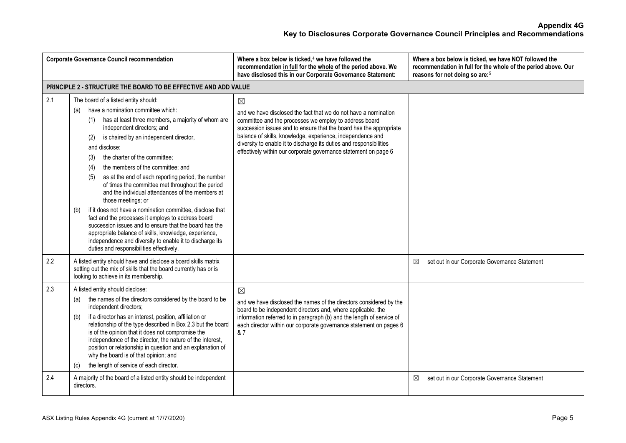| <b>Corporate Governance Council recommendation</b> |                                                                                                                                                                                                                                                                                                                                                                                                                                                                                                                                                                                                                                                                                                                                                                                                                                                                                    | Where a box below is ticked, <sup>4</sup> we have followed the<br>recommendation in full for the whole of the period above. We<br>have disclosed this in our Corporate Governance Statement:                                                                                                                                                                                                                           | Where a box below is ticked, we have NOT followed the<br>recommendation in full for the whole of the period above. Our<br>reasons for not doing so are: <sup>5</sup> |
|----------------------------------------------------|------------------------------------------------------------------------------------------------------------------------------------------------------------------------------------------------------------------------------------------------------------------------------------------------------------------------------------------------------------------------------------------------------------------------------------------------------------------------------------------------------------------------------------------------------------------------------------------------------------------------------------------------------------------------------------------------------------------------------------------------------------------------------------------------------------------------------------------------------------------------------------|------------------------------------------------------------------------------------------------------------------------------------------------------------------------------------------------------------------------------------------------------------------------------------------------------------------------------------------------------------------------------------------------------------------------|----------------------------------------------------------------------------------------------------------------------------------------------------------------------|
|                                                    | PRINCIPLE 2 - STRUCTURE THE BOARD TO BE EFFECTIVE AND ADD VALUE                                                                                                                                                                                                                                                                                                                                                                                                                                                                                                                                                                                                                                                                                                                                                                                                                    |                                                                                                                                                                                                                                                                                                                                                                                                                        |                                                                                                                                                                      |
| 2.1                                                | The board of a listed entity should:<br>have a nomination committee which:<br>(a)<br>has at least three members, a majority of whom are<br>(1)<br>independent directors; and<br>is chaired by an independent director,<br>(2)<br>and disclose:<br>the charter of the committee;<br>(3)<br>the members of the committee; and<br>(4)<br>as at the end of each reporting period, the number<br>(5)<br>of times the committee met throughout the period<br>and the individual attendances of the members at<br>those meetings; or<br>if it does not have a nomination committee, disclose that<br>(b)<br>fact and the processes it employs to address board<br>succession issues and to ensure that the board has the<br>appropriate balance of skills, knowledge, experience,<br>independence and diversity to enable it to discharge its<br>duties and responsibilities effectively. | $\boxtimes$<br>and we have disclosed the fact that we do not have a nomination<br>committee and the processes we employ to address board<br>succession issues and to ensure that the board has the appropriate<br>balance of skills, knowledge, experience, independence and<br>diversity to enable it to discharge its duties and responsibilities<br>effectively within our corporate governance statement on page 6 |                                                                                                                                                                      |
| 2.2                                                | A listed entity should have and disclose a board skills matrix<br>setting out the mix of skills that the board currently has or is<br>looking to achieve in its membership.                                                                                                                                                                                                                                                                                                                                                                                                                                                                                                                                                                                                                                                                                                        |                                                                                                                                                                                                                                                                                                                                                                                                                        | set out in our Corporate Governance Statement<br>⊠                                                                                                                   |
| 2.3                                                | A listed entity should disclose:<br>the names of the directors considered by the board to be<br>(a)<br>independent directors;<br>if a director has an interest, position, affiliation or<br>(b)<br>relationship of the type described in Box 2.3 but the board<br>is of the opinion that it does not compromise the<br>independence of the director, the nature of the interest,<br>position or relationship in question and an explanation of<br>why the board is of that opinion; and<br>the length of service of each director.<br>(c)                                                                                                                                                                                                                                                                                                                                          | $\boxtimes$<br>and we have disclosed the names of the directors considered by the<br>board to be independent directors and, where applicable, the<br>information referred to in paragraph (b) and the length of service of<br>each director within our corporate governance statement on pages 6<br>& 7                                                                                                                |                                                                                                                                                                      |
| 2.4                                                | A majority of the board of a listed entity should be independent<br>directors.                                                                                                                                                                                                                                                                                                                                                                                                                                                                                                                                                                                                                                                                                                                                                                                                     |                                                                                                                                                                                                                                                                                                                                                                                                                        | set out in our Corporate Governance Statement<br>⊠                                                                                                                   |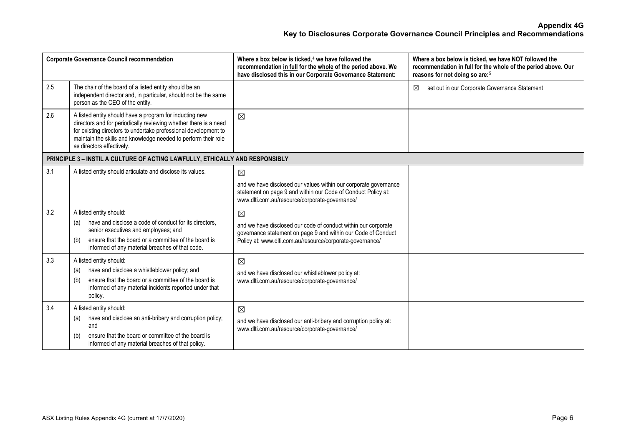| <b>Corporate Governance Council recommendation</b> |                                                                                                                                                                                                                                                                                               | Where a box below is ticked, <sup>4</sup> we have followed the<br>recommendation in full for the whole of the period above. We<br>have disclosed this in our Corporate Governance Statement:                | Where a box below is ticked, we have NOT followed the<br>recommendation in full for the whole of the period above. Our<br>reasons for not doing so are: <sup>5</sup> |
|----------------------------------------------------|-----------------------------------------------------------------------------------------------------------------------------------------------------------------------------------------------------------------------------------------------------------------------------------------------|-------------------------------------------------------------------------------------------------------------------------------------------------------------------------------------------------------------|----------------------------------------------------------------------------------------------------------------------------------------------------------------------|
| 2.5                                                | The chair of the board of a listed entity should be an<br>independent director and, in particular, should not be the same<br>person as the CEO of the entity.                                                                                                                                 |                                                                                                                                                                                                             | ⊠<br>set out in our Corporate Governance Statement                                                                                                                   |
| 2.6                                                | A listed entity should have a program for inducting new<br>directors and for periodically reviewing whether there is a need<br>for existing directors to undertake professional development to<br>maintain the skills and knowledge needed to perform their role<br>as directors effectively. | $\boxtimes$                                                                                                                                                                                                 |                                                                                                                                                                      |
|                                                    | PRINCIPLE 3 - INSTIL A CULTURE OF ACTING LAWFULLY, ETHICALLY AND RESPONSIBLY                                                                                                                                                                                                                  |                                                                                                                                                                                                             |                                                                                                                                                                      |
| 3.1                                                | A listed entity should articulate and disclose its values.                                                                                                                                                                                                                                    | $\boxtimes$<br>and we have disclosed our values within our corporate governance<br>statement on page 9 and within our Code of Conduct Policy at:<br>www.dlti.com.au/resource/corporate-governance/          |                                                                                                                                                                      |
| 3.2                                                | A listed entity should:<br>have and disclose a code of conduct for its directors,<br>(a)<br>senior executives and employees; and<br>ensure that the board or a committee of the board is<br>(b)<br>informed of any material breaches of that code.                                            | $\boxtimes$<br>and we have disclosed our code of conduct within our corporate<br>governance statement on page 9 and within our Code of Conduct<br>Policy at: www.dlti.com.au/resource/corporate-governance/ |                                                                                                                                                                      |
| 3.3                                                | A listed entity should:<br>have and disclose a whistleblower policy; and<br>(a)<br>ensure that the board or a committee of the board is<br>(b)<br>informed of any material incidents reported under that<br>policy.                                                                           | $\boxtimes$<br>and we have disclosed our whistleblower policy at:<br>www.dlti.com.au/resource/corporate-governance/                                                                                         |                                                                                                                                                                      |
| 3.4                                                | A listed entity should:<br>have and disclose an anti-bribery and corruption policy;<br>(a)<br>and<br>ensure that the board or committee of the board is<br>(b)<br>informed of any material breaches of that policy.                                                                           | $\boxtimes$<br>and we have disclosed our anti-bribery and corruption policy at:<br>www.dlti.com.au/resource/corporate-governance/                                                                           |                                                                                                                                                                      |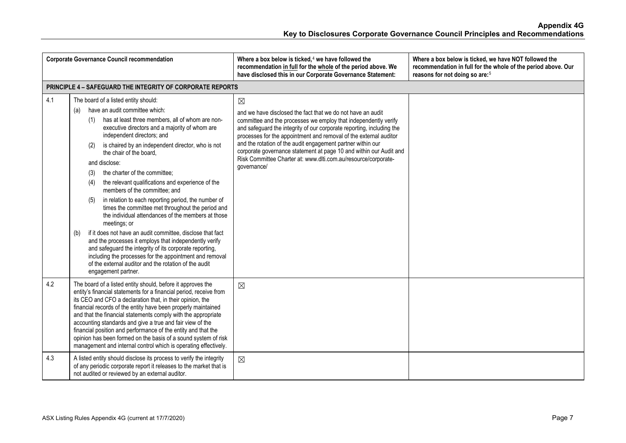| <b>Corporate Governance Council recommendation</b> |                                                                                                                                                                                                                                                                                                                                                                                                                                                                                                                                                                                                                                                                                                                                                                                                                                                                                                                                                                                                     | Where a box below is ticked, <sup>4</sup> we have followed the<br>recommendation in full for the whole of the period above. We<br>have disclosed this in our Corporate Governance Statement:                                                                                                                                                                                                                                                                                                                      | Where a box below is ticked, we have NOT followed the<br>recommendation in full for the whole of the period above. Our<br>reasons for not doing so are: <sup>5</sup> |
|----------------------------------------------------|-----------------------------------------------------------------------------------------------------------------------------------------------------------------------------------------------------------------------------------------------------------------------------------------------------------------------------------------------------------------------------------------------------------------------------------------------------------------------------------------------------------------------------------------------------------------------------------------------------------------------------------------------------------------------------------------------------------------------------------------------------------------------------------------------------------------------------------------------------------------------------------------------------------------------------------------------------------------------------------------------------|-------------------------------------------------------------------------------------------------------------------------------------------------------------------------------------------------------------------------------------------------------------------------------------------------------------------------------------------------------------------------------------------------------------------------------------------------------------------------------------------------------------------|----------------------------------------------------------------------------------------------------------------------------------------------------------------------|
|                                                    | <b>PRINCIPLE 4 - SAFEGUARD THE INTEGRITY OF CORPORATE REPORTS</b>                                                                                                                                                                                                                                                                                                                                                                                                                                                                                                                                                                                                                                                                                                                                                                                                                                                                                                                                   |                                                                                                                                                                                                                                                                                                                                                                                                                                                                                                                   |                                                                                                                                                                      |
| 4.1                                                | The board of a listed entity should:<br>have an audit committee which:<br>(a)<br>has at least three members, all of whom are non-<br>(1)<br>executive directors and a majority of whom are<br>independent directors; and<br>is chaired by an independent director, who is not<br>(2)<br>the chair of the board.<br>and disclose:<br>the charter of the committee;<br>(3)<br>the relevant qualifications and experience of the<br>(4)<br>members of the committee; and<br>in relation to each reporting period, the number of<br>(5)<br>times the committee met throughout the period and<br>the individual attendances of the members at those<br>meetings; or<br>if it does not have an audit committee, disclose that fact<br>(b)<br>and the processes it employs that independently verify<br>and safeguard the integrity of its corporate reporting,<br>including the processes for the appointment and removal<br>of the external auditor and the rotation of the audit<br>engagement partner. | $\boxtimes$<br>and we have disclosed the fact that we do not have an audit<br>committee and the processes we employ that independently verify<br>and safeguard the integrity of our corporate reporting, including the<br>processes for the appointment and removal of the external auditor<br>and the rotation of the audit engagement partner within our<br>corporate governance statement at page 10 and within our Audit and<br>Risk Committee Charter at: www.dlti.com.au/resource/corporate-<br>qovernance/ |                                                                                                                                                                      |
| 4.2                                                | The board of a listed entity should, before it approves the<br>entity's financial statements for a financial period, receive from<br>its CEO and CFO a declaration that, in their opinion, the<br>financial records of the entity have been properly maintained<br>and that the financial statements comply with the appropriate<br>accounting standards and give a true and fair view of the<br>financial position and performance of the entity and that the<br>opinion has been formed on the basis of a sound system of risk<br>management and internal control which is operating effectively.                                                                                                                                                                                                                                                                                                                                                                                                 | $\boxtimes$                                                                                                                                                                                                                                                                                                                                                                                                                                                                                                       |                                                                                                                                                                      |
| 4.3                                                | A listed entity should disclose its process to verify the integrity<br>of any periodic corporate report it releases to the market that is<br>not audited or reviewed by an external auditor.                                                                                                                                                                                                                                                                                                                                                                                                                                                                                                                                                                                                                                                                                                                                                                                                        | $\boxtimes$                                                                                                                                                                                                                                                                                                                                                                                                                                                                                                       |                                                                                                                                                                      |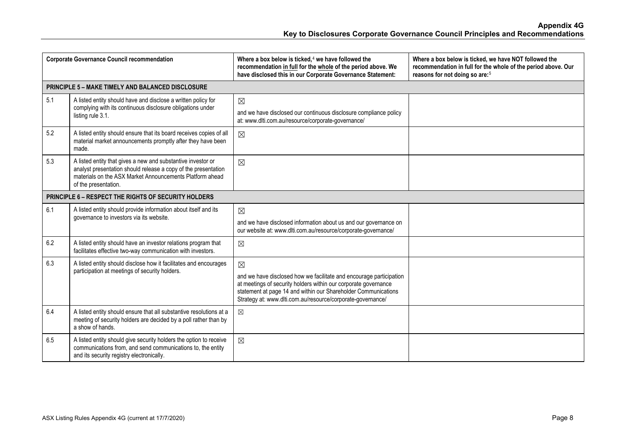| <b>Corporate Governance Council recommendation</b> |                                                                                                                                                                                                                    | Where a box below is ticked, <sup>4</sup> we have followed the<br>recommendation in full for the whole of the period above. We<br>have disclosed this in our Corporate Governance Statement:                                                                                           | Where a box below is ticked, we have NOT followed the<br>recommendation in full for the whole of the period above. Our<br>reasons for not doing so are: <sup>5</sup> |
|----------------------------------------------------|--------------------------------------------------------------------------------------------------------------------------------------------------------------------------------------------------------------------|----------------------------------------------------------------------------------------------------------------------------------------------------------------------------------------------------------------------------------------------------------------------------------------|----------------------------------------------------------------------------------------------------------------------------------------------------------------------|
|                                                    | <b>PRINCIPLE 5 - MAKE TIMELY AND BALANCED DISCLOSURE</b>                                                                                                                                                           |                                                                                                                                                                                                                                                                                        |                                                                                                                                                                      |
| 5.1                                                | A listed entity should have and disclose a written policy for<br>complying with its continuous disclosure obligations under<br>listing rule 3.1.                                                                   | $\boxtimes$<br>and we have disclosed our continuous disclosure compliance policy<br>at: www.dlti.com.au/resource/corporate-governance/                                                                                                                                                 |                                                                                                                                                                      |
| 5.2                                                | A listed entity should ensure that its board receives copies of all<br>material market announcements promptly after they have been<br>made.                                                                        | $\boxtimes$                                                                                                                                                                                                                                                                            |                                                                                                                                                                      |
| 5.3                                                | A listed entity that gives a new and substantive investor or<br>analyst presentation should release a copy of the presentation<br>materials on the ASX Market Announcements Platform ahead<br>of the presentation. | $\boxtimes$                                                                                                                                                                                                                                                                            |                                                                                                                                                                      |
|                                                    | PRINCIPLE 6 - RESPECT THE RIGHTS OF SECURITY HOLDERS                                                                                                                                                               |                                                                                                                                                                                                                                                                                        |                                                                                                                                                                      |
| 6.1                                                | A listed entity should provide information about itself and its<br>governance to investors via its website.                                                                                                        | $\boxtimes$<br>and we have disclosed information about us and our governance on<br>our website at: www.dlti.com.au/resource/corporate-governance/                                                                                                                                      |                                                                                                                                                                      |
| 6.2                                                | A listed entity should have an investor relations program that<br>facilitates effective two-way communication with investors.                                                                                      | $\boxtimes$                                                                                                                                                                                                                                                                            |                                                                                                                                                                      |
| 6.3                                                | A listed entity should disclose how it facilitates and encourages<br>participation at meetings of security holders.                                                                                                | $\boxtimes$<br>and we have disclosed how we facilitate and encourage participation<br>at meetings of security holders within our corporate governance<br>statement at page 14 and within our Shareholder Communications<br>Strategy at: www.dlti.com.au/resource/corporate-governance/ |                                                                                                                                                                      |
| 6.4                                                | A listed entity should ensure that all substantive resolutions at a<br>meeting of security holders are decided by a poll rather than by<br>a show of hands.                                                        | $\boxtimes$                                                                                                                                                                                                                                                                            |                                                                                                                                                                      |
| 6.5                                                | A listed entity should give security holders the option to receive<br>communications from, and send communications to, the entity<br>and its security registry electronically.                                     | $\boxtimes$                                                                                                                                                                                                                                                                            |                                                                                                                                                                      |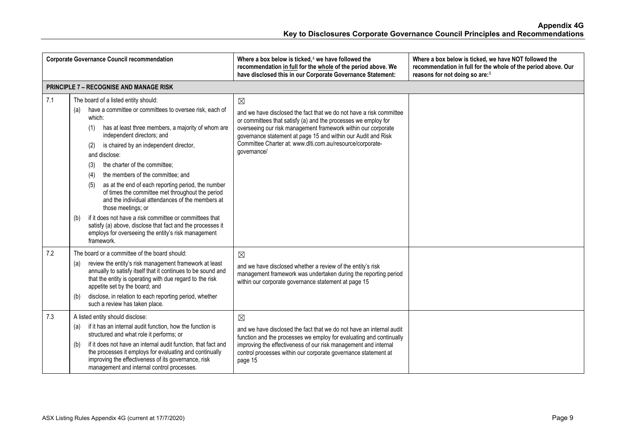| <b>Corporate Governance Council recommendation</b> |                                                                                                                                                                                                                                                                                                                                                                                                                                                                                                                                                                                                                                                                                                                                                                   | Where a box below is ticked, <sup>4</sup> we have followed the<br>recommendation in full for the whole of the period above. We<br>have disclosed this in our Corporate Governance Statement:                                                                                                                                                                       | Where a box below is ticked, we have NOT followed the<br>recommendation in full for the whole of the period above. Our<br>reasons for not doing so are: <sup>5</sup> |
|----------------------------------------------------|-------------------------------------------------------------------------------------------------------------------------------------------------------------------------------------------------------------------------------------------------------------------------------------------------------------------------------------------------------------------------------------------------------------------------------------------------------------------------------------------------------------------------------------------------------------------------------------------------------------------------------------------------------------------------------------------------------------------------------------------------------------------|--------------------------------------------------------------------------------------------------------------------------------------------------------------------------------------------------------------------------------------------------------------------------------------------------------------------------------------------------------------------|----------------------------------------------------------------------------------------------------------------------------------------------------------------------|
|                                                    | <b>PRINCIPLE 7 - RECOGNISE AND MANAGE RISK</b>                                                                                                                                                                                                                                                                                                                                                                                                                                                                                                                                                                                                                                                                                                                    |                                                                                                                                                                                                                                                                                                                                                                    |                                                                                                                                                                      |
| 7.1                                                | The board of a listed entity should:<br>have a committee or committees to oversee risk, each of<br>(a)<br>which:<br>has at least three members, a majority of whom are<br>(1)<br>independent directors; and<br>is chaired by an independent director,<br>(2)<br>and disclose:<br>the charter of the committee:<br>(3)<br>the members of the committee; and<br>(4)<br>as at the end of each reporting period, the number<br>(5)<br>of times the committee met throughout the period<br>and the individual attendances of the members at<br>those meetings; or<br>if it does not have a risk committee or committees that<br>(b)<br>satisfy (a) above, disclose that fact and the processes it<br>employs for overseeing the entity's risk management<br>framework. | $\boxtimes$<br>and we have disclosed the fact that we do not have a risk committee<br>or committees that satisfy (a) and the processes we employ for<br>overseeing our risk management framework within our corporate<br>governance statement at page 15 and within our Audit and Risk<br>Committee Charter at: www.dlti.com.au/resource/corporate-<br>governance/ |                                                                                                                                                                      |
| 7.2                                                | The board or a committee of the board should:<br>review the entity's risk management framework at least<br>(a)<br>annually to satisfy itself that it continues to be sound and<br>that the entity is operating with due regard to the risk<br>appetite set by the board; and<br>disclose, in relation to each reporting period, whether<br>(b)<br>such a review has taken place.                                                                                                                                                                                                                                                                                                                                                                                  | $\boxtimes$<br>and we have disclosed whether a review of the entity's risk<br>management framework was undertaken during the reporting period<br>within our corporate governance statement at page 15                                                                                                                                                              |                                                                                                                                                                      |
| 7.3                                                | A listed entity should disclose:<br>if it has an internal audit function, how the function is<br>(a)<br>structured and what role it performs; or<br>if it does not have an internal audit function, that fact and<br>(b)<br>the processes it employs for evaluating and continually<br>improving the effectiveness of its governance, risk<br>management and internal control processes.                                                                                                                                                                                                                                                                                                                                                                          | $\boxtimes$<br>and we have disclosed the fact that we do not have an internal audit<br>function and the processes we employ for evaluating and continually<br>improving the effectiveness of our risk management and internal<br>control processes within our corporate governance statement at<br>page 15                                                         |                                                                                                                                                                      |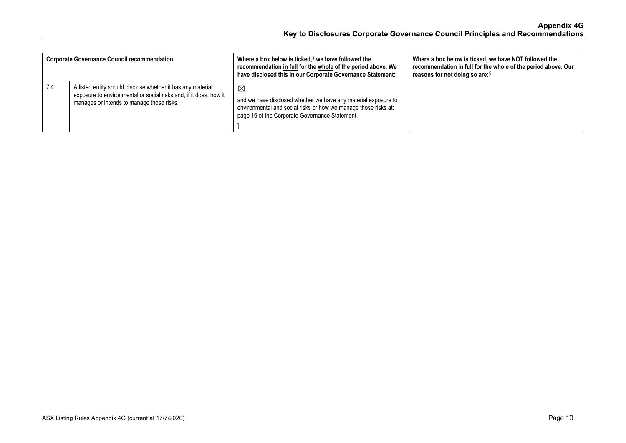| <b>Corporate Governance Council recommendation</b> |                                                                                                                                                                               | Where a box below is ticked, $4$ we have followed the<br>recommendation in full for the whole of the period above. We<br>have disclosed this in our Corporate Governance Statement:                | Where a box below is ticked, we have NOT followed the<br>recommendation in full for the whole of the period above. Our<br>reasons for not doing so are: <sup>5</sup> |
|----------------------------------------------------|-------------------------------------------------------------------------------------------------------------------------------------------------------------------------------|----------------------------------------------------------------------------------------------------------------------------------------------------------------------------------------------------|----------------------------------------------------------------------------------------------------------------------------------------------------------------------|
| 7.4                                                | A listed entity should disclose whether it has any material<br>exposure to environmental or social risks and, if it does, how it<br>manages or intends to manage those risks. | $\boxtimes$<br>and we have disclosed whether we have any material exposure to<br>environmental and social risks or how we manage those risks at:<br>page 16 of the Corporate Governance Statement. |                                                                                                                                                                      |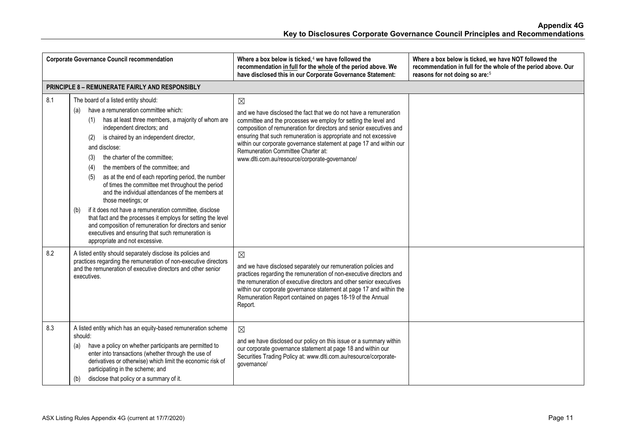|     | <b>Corporate Governance Council recommendation</b>                                                                                                                                                                                                                                                                                                                                                                                                                                                                                                                                                                                                                                                                                                                                                                  | Where a box below is ticked, $4$ we have followed the<br>recommendation in full for the whole of the period above. We<br>have disclosed this in our Corporate Governance Statement:                                                                                                                                                                                                                                                                           | Where a box below is ticked, we have NOT followed the<br>recommendation in full for the whole of the period above. Our<br>reasons for not doing so are: <sup>5</sup> |  |  |
|-----|---------------------------------------------------------------------------------------------------------------------------------------------------------------------------------------------------------------------------------------------------------------------------------------------------------------------------------------------------------------------------------------------------------------------------------------------------------------------------------------------------------------------------------------------------------------------------------------------------------------------------------------------------------------------------------------------------------------------------------------------------------------------------------------------------------------------|---------------------------------------------------------------------------------------------------------------------------------------------------------------------------------------------------------------------------------------------------------------------------------------------------------------------------------------------------------------------------------------------------------------------------------------------------------------|----------------------------------------------------------------------------------------------------------------------------------------------------------------------|--|--|
|     | <b>PRINCIPLE 8 - REMUNERATE FAIRLY AND RESPONSIBLY</b>                                                                                                                                                                                                                                                                                                                                                                                                                                                                                                                                                                                                                                                                                                                                                              |                                                                                                                                                                                                                                                                                                                                                                                                                                                               |                                                                                                                                                                      |  |  |
| 8.1 | The board of a listed entity should:<br>have a remuneration committee which:<br>(a)<br>has at least three members, a majority of whom are<br>(1)<br>independent directors; and<br>is chaired by an independent director,<br>(2)<br>and disclose:<br>the charter of the committee;<br>(3)<br>the members of the committee; and<br>(4)<br>as at the end of each reporting period, the number<br>(5)<br>of times the committee met throughout the period<br>and the individual attendances of the members at<br>those meetings; or<br>if it does not have a remuneration committee, disclose<br>(b)<br>that fact and the processes it employs for setting the level<br>and composition of remuneration for directors and senior<br>executives and ensuring that such remuneration is<br>appropriate and not excessive. | $\boxtimes$<br>and we have disclosed the fact that we do not have a remuneration<br>committee and the processes we employ for setting the level and<br>composition of remuneration for directors and senior executives and<br>ensuring that such remuneration is appropriate and not excessive<br>within our corporate governance statement at page 17 and within our<br>Remuneration Committee Charter at:<br>www.dlti.com.au/resource/corporate-governance/ |                                                                                                                                                                      |  |  |
| 8.2 | A listed entity should separately disclose its policies and<br>practices regarding the remuneration of non-executive directors<br>and the remuneration of executive directors and other senior<br>executives.                                                                                                                                                                                                                                                                                                                                                                                                                                                                                                                                                                                                       | $\boxtimes$<br>and we have disclosed separately our remuneration policies and<br>practices regarding the remuneration of non-executive directors and<br>the remuneration of executive directors and other senior executives<br>within our corporate governance statement at page 17 and within the<br>Remuneration Report contained on pages 18-19 of the Annual<br>Report.                                                                                   |                                                                                                                                                                      |  |  |
| 8.3 | A listed entity which has an equity-based remuneration scheme<br>should:<br>have a policy on whether participants are permitted to<br>(a)<br>enter into transactions (whether through the use of<br>derivatives or otherwise) which limit the economic risk of<br>participating in the scheme; and<br>disclose that policy or a summary of it.<br>(b)                                                                                                                                                                                                                                                                                                                                                                                                                                                               | $\boxtimes$<br>and we have disclosed our policy on this issue or a summary within<br>our corporate governance statement at page 18 and within our<br>Securities Trading Policy at: www.dlti.com.au/resource/corporate-<br>governance/                                                                                                                                                                                                                         |                                                                                                                                                                      |  |  |